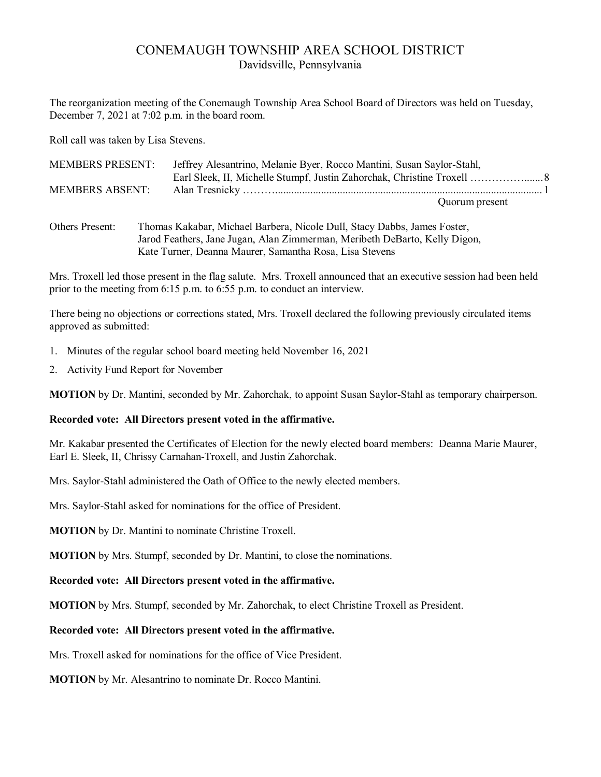# CONEMAUGH TOWNSHIP AREA SCHOOL DISTRICT Davidsville, Pennsylvania

The reorganization meeting of the Conemaugh Township Area School Board of Directors was held on Tuesday, December 7, 2021 at 7:02 p.m. in the board room.

Roll call was taken by Lisa Stevens.

| <b>MEMBERS PRESENT:</b> | Jeffrey Alesantrino, Melanie Byer, Rocco Mantini, Susan Saylor-Stahl, |  |
|-------------------------|-----------------------------------------------------------------------|--|
|                         | Earl Sleek, II, Michelle Stumpf, Justin Zahorchak, Christine Troxell  |  |
| <b>MEMBERS ABSENT:</b>  |                                                                       |  |
|                         | Quorum present                                                        |  |
|                         |                                                                       |  |

Others Present: Thomas Kakabar, Michael Barbera, Nicole Dull, Stacy Dabbs, James Foster, Jarod Feathers, Jane Jugan, Alan Zimmerman, Meribeth DeBarto, Kelly Digon, Kate Turner, Deanna Maurer, Samantha Rosa, Lisa Stevens

Mrs. Troxell led those present in the flag salute. Mrs. Troxell announced that an executive session had been held prior to the meeting from 6:15 p.m. to 6:55 p.m. to conduct an interview.

There being no objections or corrections stated, Mrs. Troxell declared the following previously circulated items approved as submitted:

- 1. Minutes of the regular school board meeting held November 16, 2021
- 2. Activity Fund Report for November

**MOTION** by Dr. Mantini, seconded by Mr. Zahorchak, to appoint Susan Saylor-Stahl as temporary chairperson.

#### **Recorded vote: All Directors present voted in the affirmative.**

Mr. Kakabar presented the Certificates of Election for the newly elected board members: Deanna Marie Maurer, Earl E. Sleek, II, Chrissy Carnahan-Troxell, and Justin Zahorchak.

Mrs. Saylor-Stahl administered the Oath of Office to the newly elected members.

Mrs. Saylor-Stahl asked for nominations for the office of President.

**MOTION** by Dr. Mantini to nominate Christine Troxell.

**MOTION** by Mrs. Stumpf, seconded by Dr. Mantini, to close the nominations.

#### **Recorded vote: All Directors present voted in the affirmative.**

**MOTION** by Mrs. Stumpf, seconded by Mr. Zahorchak, to elect Christine Troxell as President.

# **Recorded vote: All Directors present voted in the affirmative.**

Mrs. Troxell asked for nominations for the office of Vice President.

**MOTION** by Mr. Alesantrino to nominate Dr. Rocco Mantini.